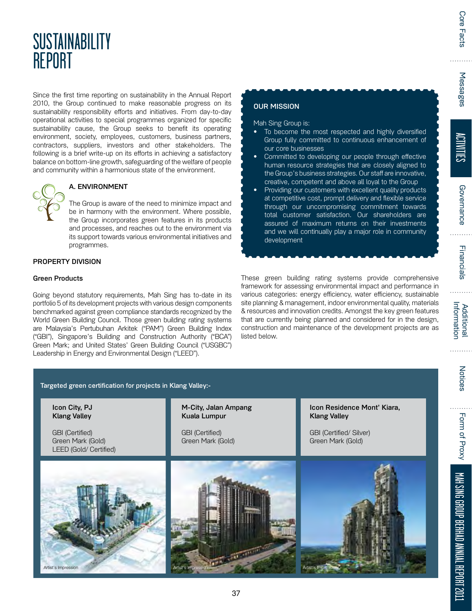# **SUSTAINABILITY** REPORT

Since the first time reporting on sustainability in the Annual Report 2010, the Group continued to make reasonable progress on its sustainability responsibility efforts and initiatives. From day-to-day operational activities to special programmes organized for specific sustainability cause, the Group seeks to benefit its operating environment, society, employees, customers, business partners, contractors, suppliers, investors and other stakeholders. The following is a brief write-up on its efforts in achieving a satisfactory balance on bottom-line growth, safeguarding of the welfare of people and community within a harmonious state of the environment.



# A. ENVIRONMENT

The Group is aware of the need to minimize impact and be in harmony with the environment. Where possible, the Group incorporates green features in its products and processes, and reaches out to the environment via its support towards various environmental initiatives and programmes.

# PROPERTY DIVISION

#### Green Products

Artist's Impression

Going beyond statutory requirements, Mah Sing has to-date in its portfolio 5 of its development projects with various design components benchmarked against green compliance standards recognized by the World Green Building Council. Those green building rating systems are Malaysia's Pertubuhan Arkitek ("PAM") Green Building Index ("GBI"), Singapore's Building and Construction Authority ("BCA") Green Mark; and United States' Green Building Council ("USGBC") Leadership in Energy and Environmental Design ("LEED").

# OUR MISSION

#### Mah Sing Group is:

- To become the most respected and highly diversified Group fully committed to continuous enhancement of our core businesses
- Committed to developing our people through effective human resource strategies that are closely aligned to the Group's business strategies. Our staff are innovative, creative, competent and above all loyal to the Group
- Providing our customers with excellent quality products at competitive cost, prompt delivery and flexible service through our uncompromising commitment towards total customer satisfaction. Our shareholders are assured of maximum returns on their investments and we will continually play a major role in community development

These green building rating systems provide comprehensive framework for assessing environmental impact and performance in various categories: energy efficiency, water efficiency, sustainable site planning & management, indoor environmental quality, materials & resources and innovation credits. Amongst the key green features that are currently being planned and considered for in the design, construction and maintenance of the development projects are as listed below.

ACTIVITIES

. . . . .

| Targeted green certification for projects in Klang Valley:-           |                                             |                                                    |  |  |
|-----------------------------------------------------------------------|---------------------------------------------|----------------------------------------------------|--|--|
| Icon City, PJ<br><b>Klang Valley</b>                                  | M-City, Jalan Ampang<br>Kuala Lumpur        | Icon Residence Mont' Kiara,<br><b>Klang Valley</b> |  |  |
| <b>GBI</b> (Certified)<br>Green Mark (Gold)<br>LEED (Gold/ Certified) | <b>GBI</b> (Certified)<br>Green Mark (Gold) | GBI (Certified/ Silver)<br>Green Mark (Gold)       |  |  |
|                                                                       |                                             |                                                    |  |  |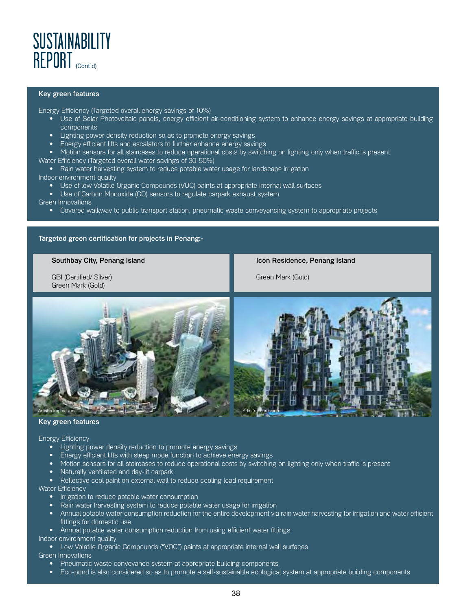

#### Key green features

Energy Efficiency (Targeted overall energy savings of 10%)

- Use of Solar Photovoltaic panels, energy efficient air-conditioning system to enhance energy savings at appropriate building components
- Lighting power density reduction so as to promote energy savings
- Energy efficient lifts and escalators to further enhance energy savings
- Motion sensors for all staircases to reduce operational costs by switching on lighting only when traffic is present
- Water Efficiency (Targeted overall water savings of 30-50%)
	- Rain water harvesting system to reduce potable water usage for landscape irrigation

#### Indoor environment quality

- Use of low Volatile Organic Compounds (VOC) paints at appropriate internal wall surfaces
- Use of Carbon Monoxide (CO) sensors to regulate carpark exhaust system
- Green Innovations
	- Covered walkway to public transport station, pneumatic waste conveyancing system to appropriate projects

#### Targeted green certification for projects in Penang:-

#### Southbay City, Penang Island

GBI (Certified/ Silver) Green Mark (Gold)

Icon Residence, Penang Island

Green Mark (Gold)



#### Key green features

#### Energy Efficiency

- Lighting power density reduction to promote energy savings
- Energy efficient lifts with sleep mode function to achieve energy savings
- Motion sensors for all staircases to reduce operational costs by switching on lighting only when traffic is present
- Naturally ventilated and day-lit carpark
- Reflective cool paint on external wall to reduce cooling load requirement

Water Efficiency

- Irrigation to reduce potable water consumption
- Rain water harvesting system to reduce potable water usage for irrigation
- Annual potable water consumption reduction for the entire development via rain water harvesting for irrigation and water efficient fittings for domestic use
- Annual potable water consumption reduction from using efficient water fittings

Indoor environment quality

• Low Volatile Organic Compounds ("VOC") paints at appropriate internal wall surfaces

Green Innovations

- Pneumatic waste conveyance system at appropriate building components
- Eco-pond is also considered so as to promote a self-sustainable ecological system at appropriate building components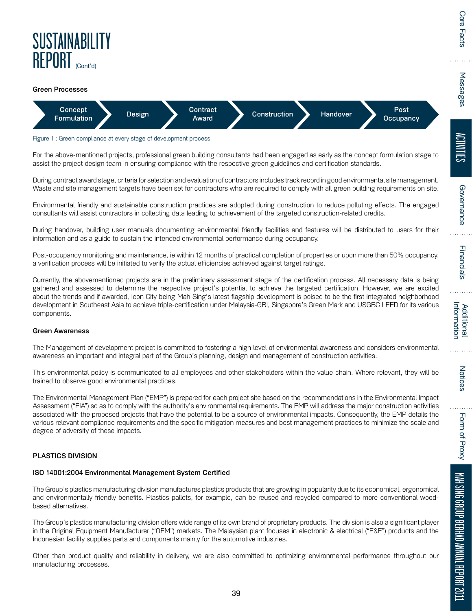

#### Green Processes



#### Figure 1: Green compliance at every stage of development process

For the above-mentioned projects, professional green building consultants had been engaged as early as the concept formulation stage to assist the project design team in ensuring compliance with the respective green guidelines and certification standards.

During contract award stage, criteria for selection and evaluation of contractors includes track record in good environmental site management. Waste and site management targets have been set for contractors who are required to comply with all green building requirements on site.

Environmental friendly and sustainable construction practices are adopted during construction to reduce polluting effects. The engaged consultants will assist contractors in collecting data leading to achievement of the targeted construction-related credits.

During handover, building user manuals documenting environmental friendly facilities and features will be distributed to users for their information and as a guide to sustain the intended environmental performance during occupancy.

Post-occupancy monitoring and maintenance, ie within 12 months of practical completion of properties or upon more than 50% occupancy, a verification process will be initiated to verify the actual efficiencies achieved against target ratings.

Currently, the abovementioned projects are in the preliminary assessment stage of the certification process. All necessary data is being gathered and assessed to determine the respective project's potential to achieve the targeted certification. However, we are excited about the trends and if awarded, Icon City being Mah Sing's latest flagship development is poised to be the first integrated neighborhood development in Southeast Asia to achieve triple-certification under Malaysia-GBI, Singapore's Green Mark and USGBC LEED for its various components.

#### Green Awareness

The Management of development project is committed to fostering a high level of environmental awareness and considers environmental awareness an important and integral part of the Group's planning, design and management of construction activities.

This environmental policy is communicated to all employees and other stakeholders within the value chain. Where relevant, they will be trained to observe good environmental practices.

The Environmental Management Plan ("EMP") is prepared for each project site based on the recommendations in the Environmental Impact Assessment ("EIA") so as to comply with the authority's environmental requirements. The EMP will address the major construction activities associated with the proposed projects that have the potential to be a source of environmental impacts. Consequently, the EMP details the various relevant compliance requirements and the specific mitigation measures and best management practices to minimize the scale and degree of adversity of these impacts.

#### PLASTICS DIVISION

#### ISO 14001:2004 Environmental Management System Certified

The Group's plastics manufacturing division manufactures plastics products that are growing in popularity due to its economical, ergonomical and environmentally friendly benefits. Plastics pallets, for example, can be reused and recycled compared to more conventional woodbased alternatives.

The Group's plastics manufacturing division offers wide range of its own brand of proprietary products. The division is also a significant player in the Original Equipment Manufacturer ("OEM") markets. The Malaysian plant focuses in electronic & electrical ("E&E") products and the Indonesian facility supplies parts and components mainly for the automotive industries.

Other than product quality and reliability in delivery, we are also committed to optimizing environmental performance throughout our manufacturing processes.

. . . .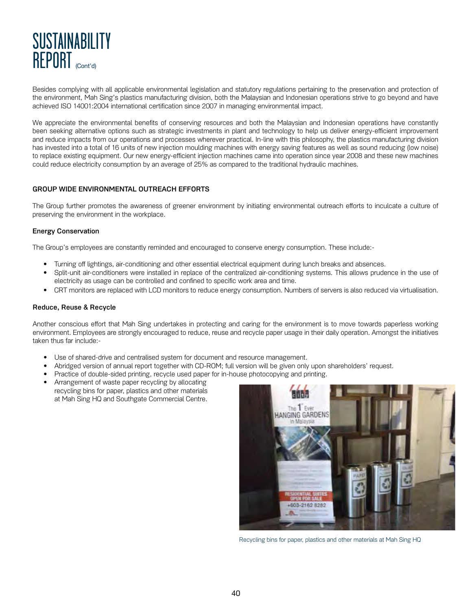

Besides complying with all applicable environmental legislation and statutory regulations pertaining to the preservation and protection of the environment, Mah Sing's plastics manufacturing division, both the Malaysian and Indonesian operations strive to go beyond and have achieved ISO 14001:2004 international certification since 2007 in managing environmental impact.

We appreciate the environmental benefits of conserving resources and both the Malaysian and Indonesian operations have constantly been seeking alternative options such as strategic investments in plant and technology to help us deliver energy-efficient improvement and reduce impacts from our operations and processes wherever practical. In-line with this philosophy, the plastics manufacturing division has invested into a total of 16 units of new injection moulding machines with energy saving features as well as sound reducing (low noise) to replace existing equipment. Our new energy-efficient injection machines came into operation since year 2008 and these new machines could reduce electricity consumption by an average of 25% as compared to the traditional hydraulic machines.

# GROUP WIDE ENVIRONMENTAL OUTREACH EFFORTS

The Group further promotes the awareness of greener environment by initiating environmental outreach efforts to inculcate a culture of preserving the environment in the workplace.

## Energy Conservation

The Group's employees are constantly reminded and encouraged to conserve energy consumption. These include:-

- Turning off lightings, air-conditioning and other essential electrical equipment during lunch breaks and absences.
- Split-unit air-conditioners were installed in replace of the centralized air-conditioning systems. This allows prudence in the use of electricity as usage can be controlled and confined to specific work area and time.
- CRT monitors are replaced with LCD monitors to reduce energy consumption. Numbers of servers is also reduced via virtualisation.

#### Reduce, Reuse & Recycle

Another conscious effort that Mah Sing undertakes in protecting and caring for the environment is to move towards paperless working environment. Employees are strongly encouraged to reduce, reuse and recycle paper usage in their daily operation. Amongst the initiatives taken thus far include:-

- Use of shared-drive and centralised system for document and resource management.
- Abridged version of annual report together with CD-ROM; full version will be given only upon shareholders' request.
- Practice of double-sided printing, recycle used paper for in-house photocopying and printing.
- Arrangement of waste paper recycling by allocating recycling bins for paper, plastics and other materials at Mah Sing HQ and Southgate Commercial Centre.



Recycling bins for paper, plastics and other materials at Mah Sing HQ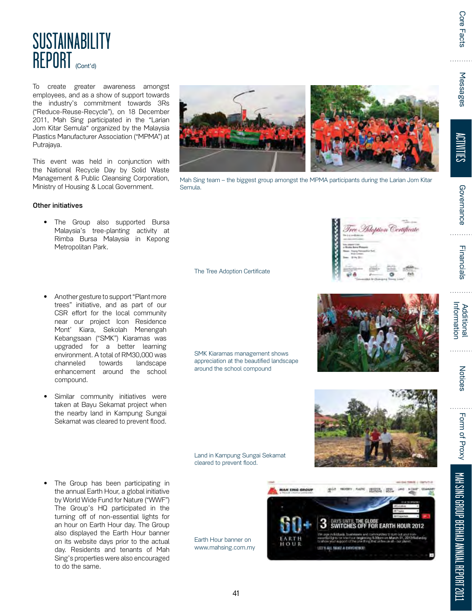# **SUSTAINABILITY** REPORT (Cont'd)

To create greater awareness amongst employees, and as a show of support towards the industry's commitment towards 3Rs ("Reduce-Reuse-Recycle"), on 18 December 2011, Mah Sing participated in the "Larian Jom Kitar Semula" organized by the Malaysia Plastics Manufacturer Association ("MPMA") at Putrajaya.

This event was held in conjunction with the National Recycle Day by Solid Waste Management & Public Cleansing Corporation, Ministry of Housing & Local Government.

## Other initiatives

- The Group also supported Bursa Malaysia's tree-planting activity at Rimba Bursa Malaysia in Kepong Metropolitan Park.
- Another gesture to support "Plant more trees" initiative, and as part of our CSR effort for the local community near our project Icon Residence Mont' Kiara, Sekolah Menengah Kebangsaan ("SMK") Kiaramas was upgraded for a better learning environment. A total of RM30,000 was channeled towards landscape enhancement around the school compound.
- Similar community initiatives were taken at Bayu Sekamat project when the nearby land in Kampung Sungai Sekamat was cleared to prevent flood.
- The Group has been participating in the annual Earth Hour, a global initiative by World Wide Fund for Nature ("WWF") The Group's HQ participated in the turning off of non-essential lights for an hour on Earth Hour day. The Group also displayed the Earth Hour banner on its website days prior to the actual day. Residents and tenants of Mah Sing's properties were also encouraged to do the same.



Mah Sing team – the biggest group amongst the MPMA participants during the Larian Jom Kitar Semula.

SMK Kiaramas management shows appreciation at the beautified landscape around the school compound

Land in Kampung Sungai Sekamat

cleared to prevent flood.

The Tree Adoption Certificate

Earth Hour banner on www.mahsing.com.my





Tree Adoption Certificate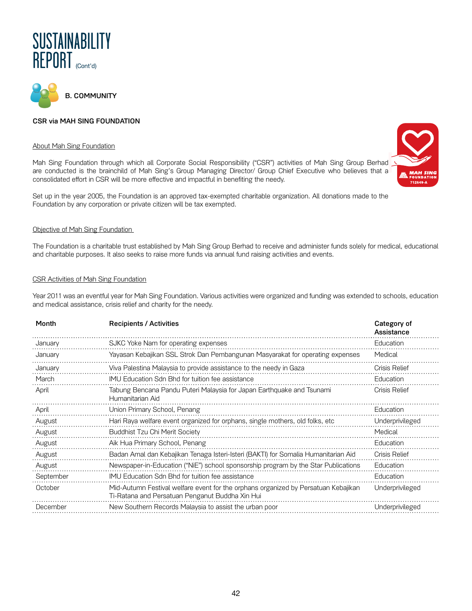



# CSR via MAH SING FOUNDATION

#### About Mah Sing Foundation

Mah Sing Foundation through which all Corporate Social Responsibility ("CSR") activities of Mah Sing Group Berhad are conducted is the brainchild of Mah Sing's Group Managing Director/ Group Chief Executive who believes that a consolidated effort in CSR will be more effective and impactful in benefiting the needy.

Set up in the year 2005, the Foundation is an approved tax-exempted charitable organization. All donations made to the Foundation by any corporation or private citizen will be tax exempted.

#### Objective of Mah Sing Foundation

The Foundation is a charitable trust established by Mah Sing Group Berhad to receive and administer funds solely for medical, educational and charitable purposes. It also seeks to raise more funds via annual fund raising activities and events.

#### CSR Activities of Mah Sing Foundation

Year 2011 was an eventful year for Mah Sing Foundation. Various activities were organized and funding was extended to schools, education and medical assistance, crisis relief and charity for the needy.

| Month     | <b>Recipients / Activities</b>                                                                                                        | Category of<br>Assistance |
|-----------|---------------------------------------------------------------------------------------------------------------------------------------|---------------------------|
| January   | SJKC Yoke Nam for operating expenses                                                                                                  | Education                 |
| January   | Yayasan Kebajikan SSL Strok Dan Pembangunan Masyarakat for operating expenses                                                         | Medical                   |
| January   | Viva Palestina Malaysia to provide assistance to the needy in Gaza                                                                    | <b>Crisis Relief</b>      |
| March     | IMU Education Sdn Bhd for tuition fee assistance                                                                                      | Education                 |
| April     | Tabung Bencana Pandu Puteri Malaysia for Japan Earthquake and Tsunami<br>Humanitarian Aid                                             | <b>Crisis Relief</b>      |
| April     | Union Primary School, Penang                                                                                                          | Education                 |
| August    | Hari Raya welfare event organized for orphans, single mothers, old folks, etc                                                         | Underprivileged           |
| August    | <b>Buddhist Tzu Chi Merit Society</b>                                                                                                 | Medical                   |
| August    | Aik Hua Primary School, Penang                                                                                                        | Education                 |
| August    | Badan Amal dan Kebajikan Tenaga Isteri-Isteri (BAKTI) for Somalia Humanitarian Aid                                                    | <b>Crisis Relief</b>      |
| August    | Newspaper-in-Education ("NiE") school sponsorship program by the Star Publications                                                    | Education                 |
| September | IMU Education Sdn Bhd for tuition fee assistance                                                                                      | Education                 |
| October   | Mid-Autumn Festival welfare event for the orphans organized by Persatuan Kebajikan<br>Ti-Ratana and Persatuan Penganut Buddha Xin Hui | Underprivileged           |
| December  | New Southern Records Malaysia to assist the urban poor                                                                                | Underprivileged           |

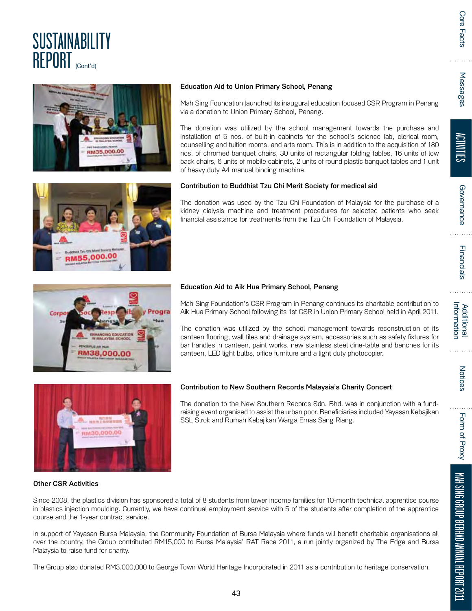



## Education Aid to Union Primary School, Penang

Mah Sing Foundation launched its inaugural education focused CSR Program in Penang via a donation to Union Primary School, Penang.

The donation was utilized by the school management towards the purchase and installation of 5 nos. of built-in cabinets for the school's science lab, clerical room, counselling and tuition rooms, and arts room. This is in addition to the acquisition of 180 nos. of chromed banquet chairs, 30 units of rectangular folding tables, 16 units of low back chairs, 6 units of mobile cabinets, 2 units of round plastic banquet tables and 1 unit of heavy duty A4 manual binding machine.

# Contribution to Buddhist Tzu Chi Merit Society for medical aid

The donation was used by the Tzu Chi Foundation of Malaysia for the purchase of a kidney dialysis machine and treatment procedures for selected patients who seek financial assistance for treatments from the Tzu Chi Foundation of Malaysia.



#### Education Aid to Aik Hua Primary School, Penang

Mah Sing Foundation's CSR Program in Penang continues its charitable contribution to Aik Hua Primary School following its 1st CSR in Union Primary School held in April 2011.

The donation was utilized by the school management towards reconstruction of its canteen flooring, wall tiles and drainage system, accessories such as safety fixtures for bar handles in canteen, paint works, new stainless steel dine-table and benches for its canteen, LED light bulbs, office furniture and a light duty photocopier.



#### Contribution to New Southern Records Malaysia's Charity Concert

The donation to the New Southern Records Sdn. Bhd. was in conjunction with a fundraising event organised to assist the urban poor. Beneficiaries included Yayasan Kebajikan SSL Strok and Rumah Kebajikan Warga Emas Sang Riang.

#### Other CSR Activities

Since 2008, the plastics division has sponsored a total of 8 students from lower income families for 10-month technical apprentice course in plastics injection moulding. Currently, we have continual employment service with 5 of the students after completion of the apprentice course and the 1-year contract service.

In support of Yayasan Bursa Malaysia, the Community Foundation of Bursa Malaysia where funds will benefit charitable organisations all over the country, the Group contributed RM15,000 to Bursa Malaysia' RAT Race 2011, a run jointly organized by The Edge and Bursa Malaysia to raise fund for charity.

The Group also donated RM3,000,000 to George Town World Heritage Incorporated in 2011 as a contribution to heritage conservation.

Messages

Form of Proxy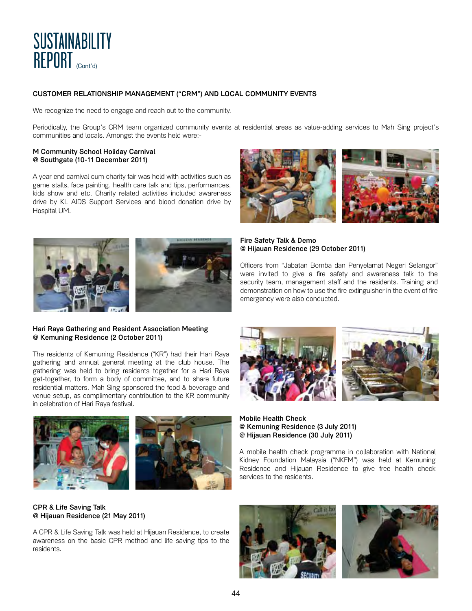

# CUSTOMER RELATIONSHIP MANAGEMENT ("CRM") AND LOCAL COMMUNITY EVENTS

We recognize the need to engage and reach out to the community.

Periodically, the Group's CRM team organized community events at residential areas as value-adding services to Mah Sing project's communities and locals. Amongst the events held were:-

#### M Community School Holiday Carnival @ Southgate (10-11 December 2011)

A year end carnival cum charity fair was held with activities such as game stalls, face painting, health care talk and tips, performances, kids show and etc. Charity related activities included awareness drive by KL AIDS Support Services and blood donation drive by Hospital UM.





#### Hari Raya Gathering and Resident Association Meeting @ Kemuning Residence (2 October 2011)

The residents of Kemuning Residence ("KR") had their Hari Raya gathering and annual general meeting at the club house. The gathering was held to bring residents together for a Hari Raya get-together, to form a body of committee, and to share future residential matters. Mah Sing sponsored the food & beverage and venue setup, as complimentary contribution to the KR community in celebration of Hari Raya festival.



# CPR & Life Saving Talk @ Hijauan Residence (21 May 2011)

A CPR & Life Saving Talk was held at Hijauan Residence, to create awareness on the basic CPR method and life saving tips to the residents.





Fire Safety Talk & Demo @ Hijauan Residence (29 October 2011)

Officers from "Jabatan Bomba dan Penyelamat Negeri Selangor" were invited to give a fire safety and awareness talk to the security team, management staff and the residents. Training and demonstration on how to use the fire extinguisher in the event of fire emergency were also conducted.





Mobile Health Check @ Kemuning Residence (3 July 2011) @ Hijauan Residence (30 July 2011)

A mobile health check programme in collaboration with National Kidney Foundation Malaysia ("NKFM") was held at Kemuning Residence and Hijauan Residence to give free health check services to the residents.



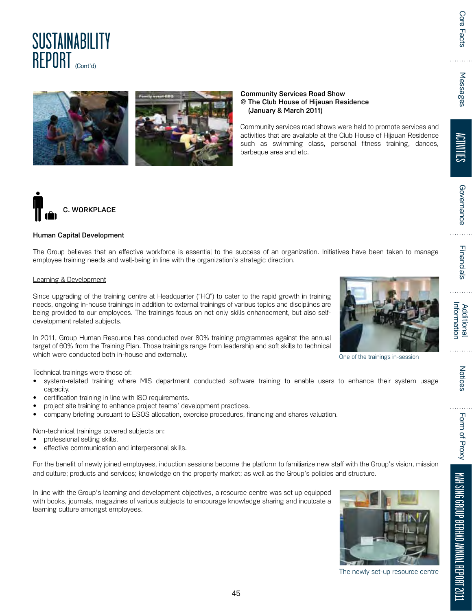$\cdots$ 

# **SUSTAINABILITY** REPORT (Cont'd)



Community Services Road Show @ The Club House of Hijauan Residence (January & March 2011)

Community services road shows were held to promote services and activities that are available at the Club House of Hijauan Residence such as swimming class, personal fitness training, dances, barbeque area and etc.



# Human Capital Development

The Group believes that an effective workforce is essential to the success of an organization. Initiatives have been taken to manage employee training needs and well-being in line with the organization's strategic direction.

# Learning & Development

Since upgrading of the training centre at Headquarter ("HQ") to cater to the rapid growth in training needs, ongoing in-house trainings in addition to external trainings of various topics and disciplines are being provided to our employees. The trainings focus on not only skills enhancement, but also selfdevelopment related subjects.

In 2011, Group Human Resource has conducted over 80% training programmes against the annual target of 60% from the Training Plan. Those trainings range from leadership and soft skills to technical which were conducted both in-house and externally.

Technical trainings were those of:

- system-related training where MIS department conducted software training to enable users to enhance their system usage capacity.
- certification training in line with ISO requirements.
- project site training to enhance project teams' development practices.
- company briefing pursuant to ESOS allocation, exercise procedures, financing and shares valuation.

Non-technical trainings covered subjects on:

- professional selling skills.
- effective communication and interpersonal skills.

For the benefit of newly joined employees, induction sessions become the platform to familiarize new staff with the Group's vision, mission and culture; products and services; knowledge on the property market; as well as the Group's policies and structure.

In line with the Group's learning and development objectives, a resource centre was set up equipped with books, journals, magazines of various subjects to encourage knowledge sharing and inculcate a learning culture amongst employees.



The newly set-up resource centre



One of the trainings in-session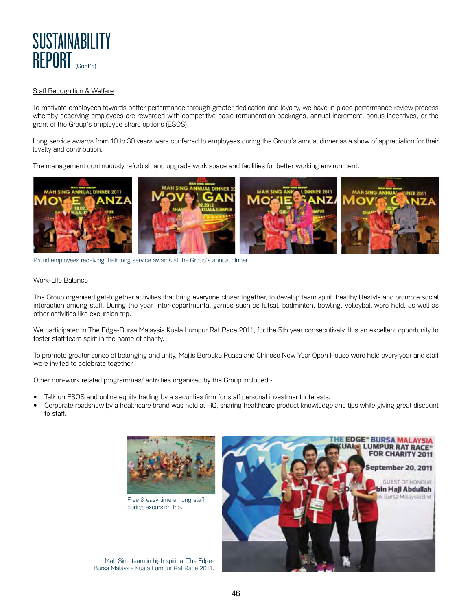

#### Staff Recognition & Welfare

To motivate employees towards better performance through greater dedication and loyalty, we have in place performance review process whereby deserving employees are rewarded with competitive basic remuneration packages, annual increment, bonus incentives, or the grant of the Group's employee share options (ESOS).

Long service awards from 10 to 30 years were conferred to employees during the Group's annual dinner as a show of appreciation for their loyalty and contribution.

The management continuously refurbish and upgrade work space and facilities for better working environment.



Proud employees receiving their long service awards at the Group's annual dinner.

#### Work-Life Balance

The Group organised get-together activities that bring everyone closer together, to develop team spirit, healthy lifestyle and promote social interaction among staff. During the year, inter-departmental games such as futsal, badminton, bowling, volleyball were held, as well as other activities like excursion trip.

We participated in The Edge-Bursa Malaysia Kuala Lumpur Rat Race 2011, for the 5th year consecutively. It is an excellent opportunity to foster staff team spirit in the name of charity.

To promote greater sense of belonging and unity, Majlis Berbuka Puasa and Chinese New Year Open House were held every year and staff were invited to celebrate together.

Other non-work related programmes/ activities organized by the Group included:-

- Talk on ESOS and online equity trading by a securities firm for staff personal investment interests.
- Corporate roadshow by a healthcare brand was held at HQ, sharing healthcare product knowledge and tips while giving great discount to staff.



Free & easy time among staff during excursion trip.

Mah Sing team in high spirit at The Edge-Bursa Malaysia Kuala Lumpur Rat Race 2011.

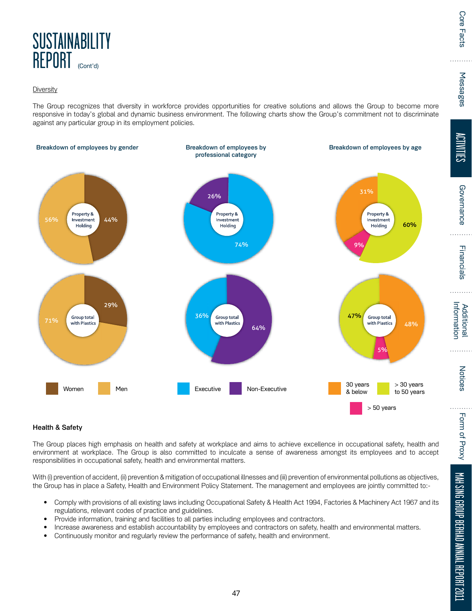

## **Diversity**

The Group recognizes that diversity in workforce provides opportunities for creative solutions and allows the Group to become more responsive in today's global and dynamic business environment. The following charts show the Group's commitment not to discriminate against any particular group in its employment policies.



# Health & Safety

The Group places high emphasis on health and safety at workplace and aims to achieve excellence in occupational safety, health and environment at workplace. The Group is also committed to inculcate a sense of awareness amongst its employees and to accept responsibilities in occupational safety, health and environmental matters.

With (i) prevention of accident, (ii) prevention & mitigation of occupational illnesses and (iii) prevention of environmental pollutions as objectives, the Group has in place a Safety, Health and Environment Policy Statement. The management and employees are jointly committed to:-

- Comply with provisions of all existing laws including Occupational Safety & Health Act 1994, Factories & Machinery Act 1967 and its regulations, relevant codes of practice and guidelines.
- Provide information, training and facilities to all parties including employees and contractors.
- Increase awareness and establish accountability by employees and contractors on safety, health and environmental matters.
- Continuously monitor and regularly review the performance of safety, health and environment.

ACTIVITIES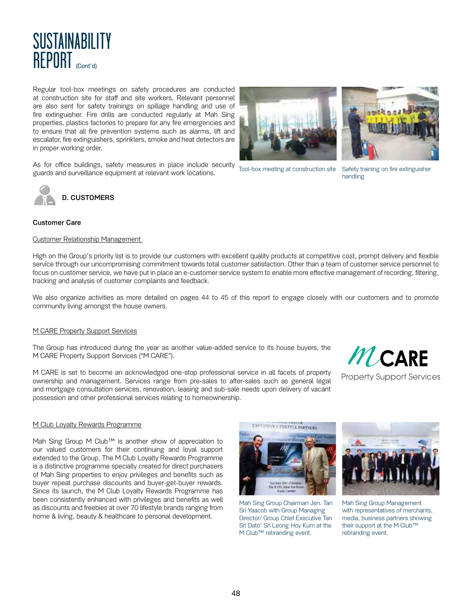

Regular tool-box meetings on safety procedures are conducted at construction site for staff and site workers. Relevant personnel are also sent for safety trainings on spillage handling and use of fire extinguisher. Fire drills are conducted regularly at Mah Sing properties, plastics factories to prepare for any fire emergencies and to ensure that all fire prevention systems such as alarms, lift and escalator, fire extinguishers, sprinklers, smoke and heat detectors are in proper working order.

As for office buildings, safety measures in place include security guards and surveillance equipment at relevant work locations.



# Customer Care

#### Customer Relationship Management

High on the Group's priority list is to provide our customers with excellent quality products at competitive cost, prompt delivery and flexible service through our uncompromising commitment towards total customer satisfaction. Other than a team of customer service personnel to focus on customer service, we have put in place an e-customer service system to enable more effective management of recording, filtering, tracking and analysis of customer complaints and feedback.

We also organize activities as more detailed on pages 44 to 45 of this report to engage closely with our customers and to promote community living amongst the house owners.

#### M CARE Property Support Services

The Group has introduced during the year as another value-added service to its house buyers, the M CARE Property Support Services ("M CARE").

M CARE is set to become an acknowledged one-stop professional service in all facets of property ownership and management. Services range from pre-sales to after-sales such as general legal and mortgage consultation services, renovation, leasing and sub-sale needs upon delivery of vacant possession and other professional services relating to homeownership.



#### M Club Loyalty Rewards Programme

Mah Sing Group M Club™ is another show of appreciation to our valued customers for their continuing and loyal support extended to the Group. The M Club Loyalty Rewards Programme is a distinctive programme specially created for direct purchasers of Mah Sing properties to enjoy privileges and benefits such as buyer repeat purchase discounts and buyer-get-buyer rewards. Since its launch, the M Club Loyalty Rewards Programme has been consistently enhanced with privileges and benefits as well as discounts and freebies at over 70 lifestyle brands ranging from home & living, beauty & healthcare to personal development.



Mah Sing Group Chairman Jen. Tan Sri Yaacob with Group Managing Director/ Group Chief Executive Tan Sri Dato' Sri Leong Hoy Kum at the M Club™ rebranding event.



Mah Sing Group Management with representatives of merchants, media, business partners showing their support at the M Club™ rebranding event.

Tool-box meeting at construction site

Safety training on fire extinguisher handling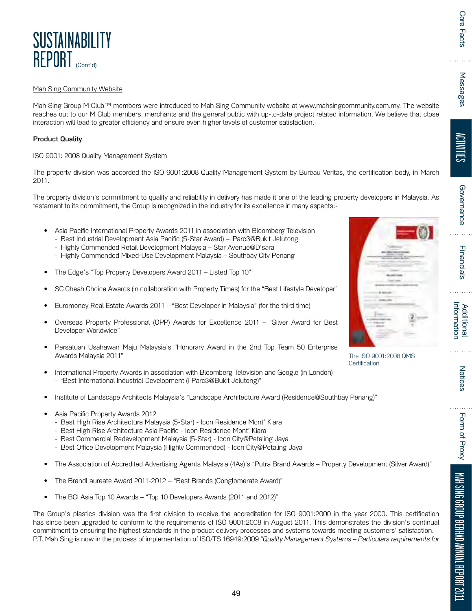The ISO 9001:2008 QMS

**Certification** 

Notices . . . . . Form of Proxy

# **Mah Sing Community Website**

**SUSTAINABILITY** 

REPORT (Cont'd)

Mah Sing Group M Club™ members were introduced to Mah Sing Community website at www.mahsingcommunity.com.my. The website reaches out to our M Club members, merchants and the general public with up-to-date project related information. We believe that close interaction will lead to greater efficiency and ensure even higher levels of customer satisfaction.

#### Product Quality

#### ISO 9001: 2008 Quality Management System

The property division was accorded the ISO 9001:2008 Quality Management System by Bureau Veritas, the certification body, in March 2011.

The property division's commitment to quality and reliability in delivery has made it one of the leading property developers in Malaysia. As testament to its commitment, the Group is recognized in the industry for its excellence in many aspects:-

- Asia Pacific International Property Awards 2011 in association with Bloomberg Television
- Best Industrial Development Asia Pacific (5-Star Award) iParc3@Bukit Jelutong - Highly Commended Retail Development Malaysia – Star Avenue@D'sara
	- Highly Commended Mixed-Use Development Malaysia Southbay City Penang
	- The Edge's "Top Property Developers Award 2011 Listed Top 10"
- SC Cheah Choice Awards (in collaboration with Property Times) for the "Best Lifestyle Developer"
- Euromoney Real Estate Awards 2011 "Best Developer in Malaysia" (for the third time)
- Overseas Property Professional (OPP) Awards for Excellence 2011 "Silver Award for Best Developer Worldwide"
	- Persatuan Usahawan Maju Malaysia's "Honorary Award in the 2nd Top Team 50 Enterprise Awards Malaysia 2011"
- International Property Awards in association with Bloomberg Television and Google (in London) - "Best International Industrial Development (i-Parc3@Bukit Jelutong)"
- Institute of Landscape Architects Malaysia's "Landscape Architecture Award (Residence@Southbay Penang)"
	- Asia Pacific Property Awards 2012
- Best High Rise Architecture Malaysia (5-Star) Icon Residence Mont' Kiara
	- Best High Rise Architecture Asia Pacific Icon Residence Mont' Kiara
- Best Commercial Redevelopment Malaysia (5-Star) Icon City@Petaling Jaya
- Best Office Development Malaysia (Highly Commended) Icon City@Petaling Jaya
- The Association of Accredited Advertising Agents Malaysia (4As)'s "Putra Brand Awards Property Development (Silver Award)"
- The BrandLaureate Award 2011-2012 "Best Brands (Conglomerate Award)"
- The BCI Asia Top 10 Awards "Top 10 Developers Awards (2011 and 2012)"

The Group's plastics division was the first division to receive the accreditation for ISO 9001:2000 in the year 2000. This certification has since been upgraded to conform to the requirements of ISO 9001:2008 in August 2011. This demonstrates the division's continual commitment to ensuring the highest standards in the product delivery processes and systems towards meeting customers' satisfaction. P.T. Mah Sing is now in the process of implementation of ISO/TS 16949:2009 "Quality Management Systems – Particulars requirements for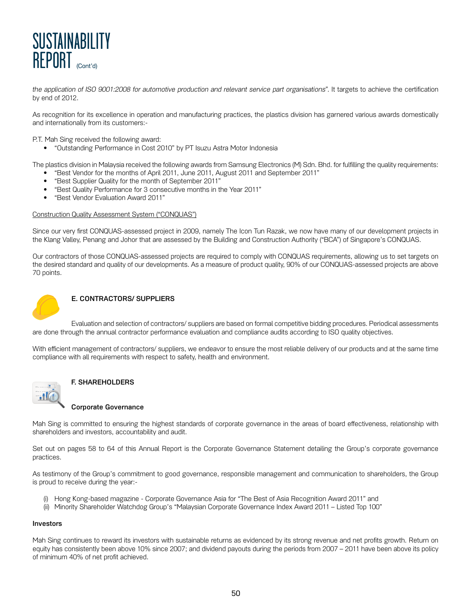

the application of ISO 9001:2008 for automotive production and relevant service part organisations". It targets to achieve the certification by end of 2012.

As recognition for its excellence in operation and manufacturing practices, the plastics division has garnered various awards domestically and internationally from its customers:-

P.T. Mah Sing received the following award:

• "Outstanding Performance in Cost 2010" by PT Isuzu Astra Motor Indonesia

The plastics division in Malaysia received the following awards from Samsung Electronics (M) Sdn. Bhd. for fulfilling the quality requirements:

- "Best Vendor for the months of April 2011, June 2011, August 2011 and September 2011"
- "Best Supplier Quality for the month of September 2011"
- "Best Quality Performance for 3 consecutive months in the Year 2011"
- "Best Vendor Evaluation Award 2011"

#### Construction Quality Assessment System ("CONQUAS")

Since our very first CONQUAS-assessed project in 2009, namely The Icon Tun Razak, we now have many of our development projects in the Klang Valley, Penang and Johor that are assessed by the Building and Construction Authority ("BCA") of Singapore's CONQUAS.

Our contractors of those CONQUAS-assessed projects are required to comply with CONQUAS requirements, allowing us to set targets on the desired standard and quality of our developments. As a measure of product quality, 90% of our CONQUAS-assessed projects are above 70 points.



# E. CONTRACTORS/ SUPPLIERS

Evaluation and selection of contractors/ suppliers are based on formal competitive bidding procedures. Periodical assessments are done through the annual contractor performance evaluation and compliance audits according to ISO quality objectives.

With efficient management of contractors/ suppliers, we endeavor to ensure the most reliable delivery of our products and at the same time compliance with all requirements with respect to safety, health and environment.



# F. SHAREHOLDERS

#### Corporate Governance

Mah Sing is committed to ensuring the highest standards of corporate governance in the areas of board effectiveness, relationship with shareholders and investors, accountability and audit.

Set out on pages 58 to 64 of this Annual Report is the Corporate Governance Statement detailing the Group's corporate governance practices.

As testimony of the Group's commitment to good governance, responsible management and communication to shareholders, the Group is proud to receive during the year:-

- (i) Hong Kong-based magazine Corporate Governance Asia for "The Best of Asia Recognition Award 2011" and
	- (ii) Minority Shareholder Watchdog Group's "Malaysian Corporate Governance Index Award 2011 Listed Top 100"

#### Investors

Mah Sing continues to reward its investors with sustainable returns as evidenced by its strong revenue and net profits growth. Return on equity has consistently been above 10% since 2007; and dividend payouts during the periods from 2007 – 2011 have been above its policy of minimum 40% of net profit achieved.